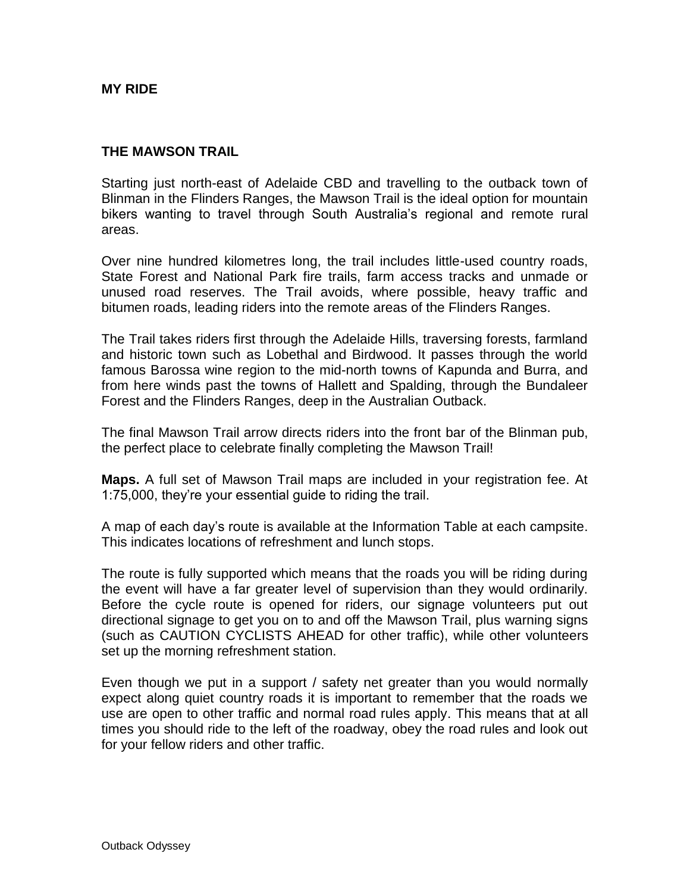**MY RIDE** 

#### **THE MAWSON TRAIL**

Starting just north-east of Adelaide CBD and travelling to the outback town of Blinman in the Flinders Ranges, the Mawson Trail is the ideal option for mountain bikers wanting to travel through South Australia's regional and remote rural areas.

Over nine hundred kilometres long, the trail includes little-used country roads, State Forest and National Park fire trails, farm access tracks and unmade or unused road reserves. The Trail avoids, where possible, heavy traffic and bitumen roads, leading riders into the remote areas of the Flinders Ranges.

The Trail takes riders first through the Adelaide Hills, traversing forests, farmland and historic town such as Lobethal and Birdwood. It passes through the world famous Barossa wine region to the mid-north towns of Kapunda and Burra, and from here winds past the towns of Hallett and Spalding, through the Bundaleer Forest and the Flinders Ranges, deep in the Australian Outback.

The final Mawson Trail arrow directs riders into the front bar of the Blinman pub, the perfect place to celebrate finally completing the Mawson Trail!

**Maps.** A full set of Mawson Trail maps are included in your registration fee. At 1:75,000, they're your essential guide to riding the trail.

A map of each day's route is available at the Information Table at each campsite. This indicates locations of refreshment and lunch stops.

The route is fully supported which means that the roads you will be riding during the event will have a far greater level of supervision than they would ordinarily. Before the cycle route is opened for riders, our signage volunteers put out directional signage to get you on to and off the Mawson Trail, plus warning signs (such as CAUTION CYCLISTS AHEAD for other traffic), while other volunteers set up the morning refreshment station.

Even though we put in a support / safety net greater than you would normally expect along quiet country roads it is important to remember that the roads we use are open to other traffic and normal road rules apply. This means that at all times you should ride to the left of the roadway, obey the road rules and look out for your fellow riders and other traffic.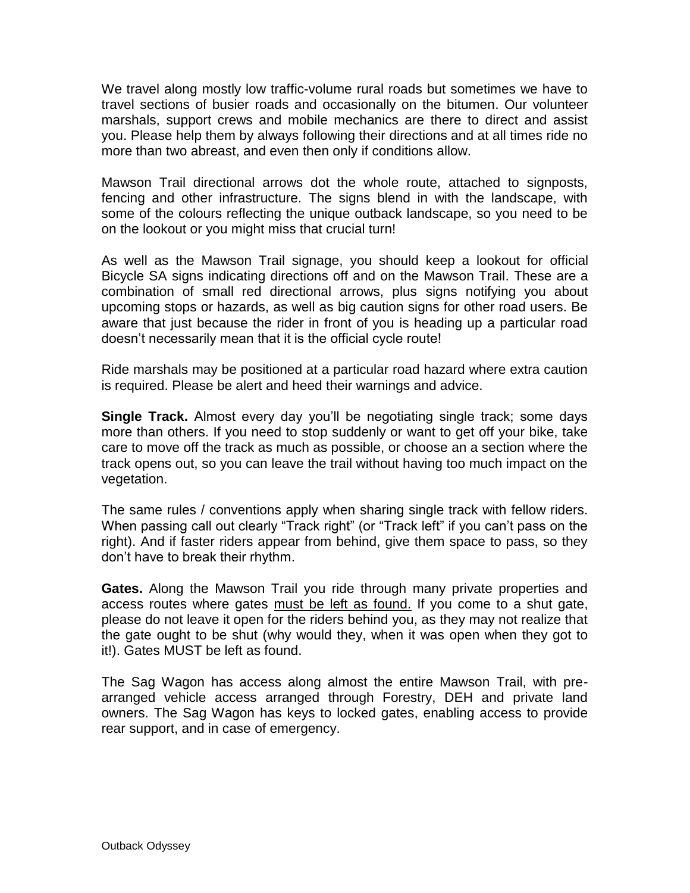We travel along mostly low traffic-volume rural roads but sometimes we have to travel sections of busier roads and occasionally on the bitumen. Our volunteer marshals, support crews and mobile mechanics are there to direct and assist you. Please help them by always following their directions and at all times ride no more than two abreast, and even then only if conditions allow.

Mawson Trail directional arrows dot the whole route, attached to signposts, fencing and other infrastructure. The signs blend in with the landscape, with some of the colours reflecting the unique outback landscape, so you need to be on the lookout or you might miss that crucial turn!

As well as the Mawson Trail signage, you should keep a lookout for official Bicycle SA signs indicating directions off and on the Mawson Trail. These are a combination of small red directional arrows, plus signs notifying you about upcoming stops or hazards, as well as big caution signs for other road users. Be aware that just because the rider in front of you is heading up a particular road doesn't necessarily mean that it is the official cycle route!

Ride marshals may be positioned at a particular road hazard where extra caution is required. Please be alert and heed their warnings and advice.

**Single Track.** Almost every day you'll be negotiating single track; some days more than others. If you need to stop suddenly or want to get off your bike, take care to move off the track as much as possible, or choose an a section where the track opens out, so you can leave the trail without having too much impact on the vegetation.

The same rules / conventions apply when sharing single track with fellow riders. When passing call out clearly "Track right" (or "Track left" if you can't pass on the right). And if faster riders appear from behind, give them space to pass, so they don't have to break their rhythm.

**Gates.** Along the Mawson Trail you ride through many private properties and access routes where gates must be left as found. If you come to a shut gate, please do not leave it open for the riders behind you, as they may not realize that the gate ought to be shut (why would they, when it was open when they got to it!). Gates MUST be left as found.

The Sag Wagon has access along almost the entire Mawson Trail, with prearranged vehicle access arranged through Forestry, DEH and private land owners. The Sag Wagon has keys to locked gates, enabling access to provide rear support, and in case of emergency.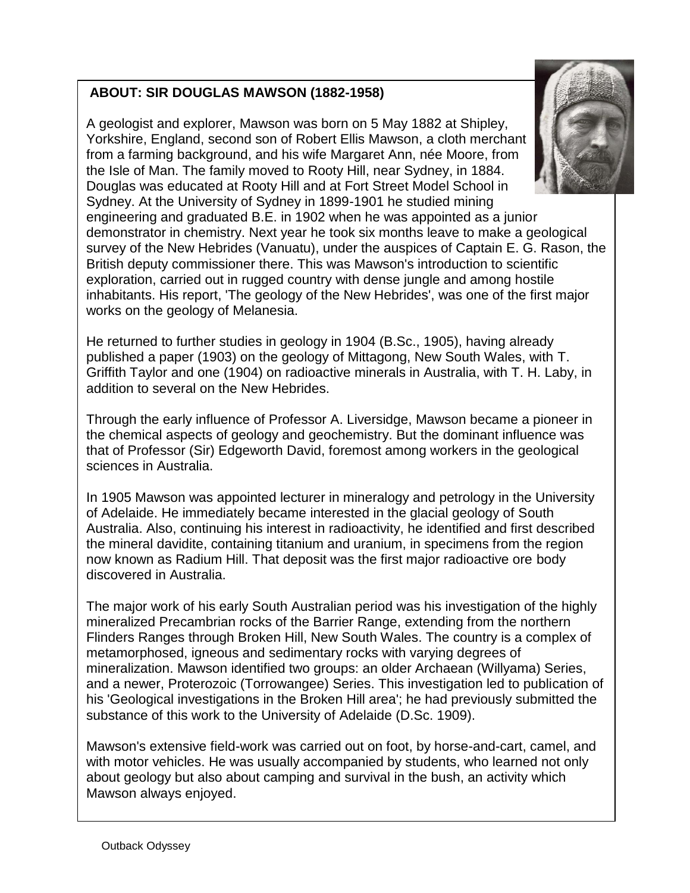# **ABOUT: SIR DOUGLAS MAWSON (1882-1958)**

A geologist and explorer, Mawson was born on 5 May 1882 at Shipley, Yorkshire, England, second son of Robert Ellis Mawson, a cloth merchant from a farming background, and his wife Margaret Ann, née Moore, from the Isle of Man. The family moved to Rooty Hill, near Sydney, in 1884. Douglas was educated at Rooty Hill and at Fort Street Model School in Sydney. At the University of Sydney in 1899-1901 he studied mining engineering and graduated B.E. in 1902 when he was appointed as a junior demonstrator in chemistry. Next year he took six months leave to make a geological survey of the New Hebrides (Vanuatu), under the auspices of Captain E. G. Rason, the British deputy commissioner there. This was Mawson's introduction to scientific exploration, carried out in rugged country with dense jungle and among hostile inhabitants. His report, 'The geology of the New Hebrides', was one of the first major works on the geology of Melanesia.

He returned to further studies in geology in 1904 (B.Sc., 1905), having already published a paper (1903) on the geology of Mittagong, New South Wales, with [T.](http://www.adb.online.anu.edu.au/biogs/A120206b.htm)  [Griffith Taylor](http://www.adb.online.anu.edu.au/biogs/A120206b.htm) and one (1904) on radioactive minerals in Australia, with T. H. Laby, in addition to several on the New Hebrides.

Through the early influence of Professor A. Liversidge, Mawson became a pioneer in the chemical aspects of geology and geochemistry. But the dominant influence was that of Professor (Sir) Edgeworth David, foremost among workers in the geological sciences in Australia.

In 1905 Mawson was appointed lecturer in mineralogy and petrology in the University of Adelaide. He immediately became interested in the glacial geology of South Australia. Also, continuing his interest in radioactivity, he identified and first described the mineral davidite, containing titanium and uranium, in specimens from the region now known as Radium Hill. That deposit was the first major radioactive ore body discovered in Australia.

The major work of his early South Australian period was his investigation of the highly mineralized Precambrian rocks of the Barrier Range, extending from the northern Flinders Ranges through Broken Hill, New South Wales. The country is a complex of metamorphosed, igneous and sedimentary rocks with varying degrees of mineralization. Mawson identified two groups: an older Archaean (Willyama) Series, and a newer, Proterozoic (Torrowangee) Series. This investigation led to publication of his 'Geological investigations in the Broken Hill area'; he had previously submitted the substance of this work to the University of Adelaide (D.Sc. 1909).

Mawson's extensive field-work was carried out on foot, by horse-and-cart, camel, and with motor vehicles. He was usually accompanied by students, who learned not only about geology but also about camping and survival in the bush, an activity which Mawson always enjoyed.

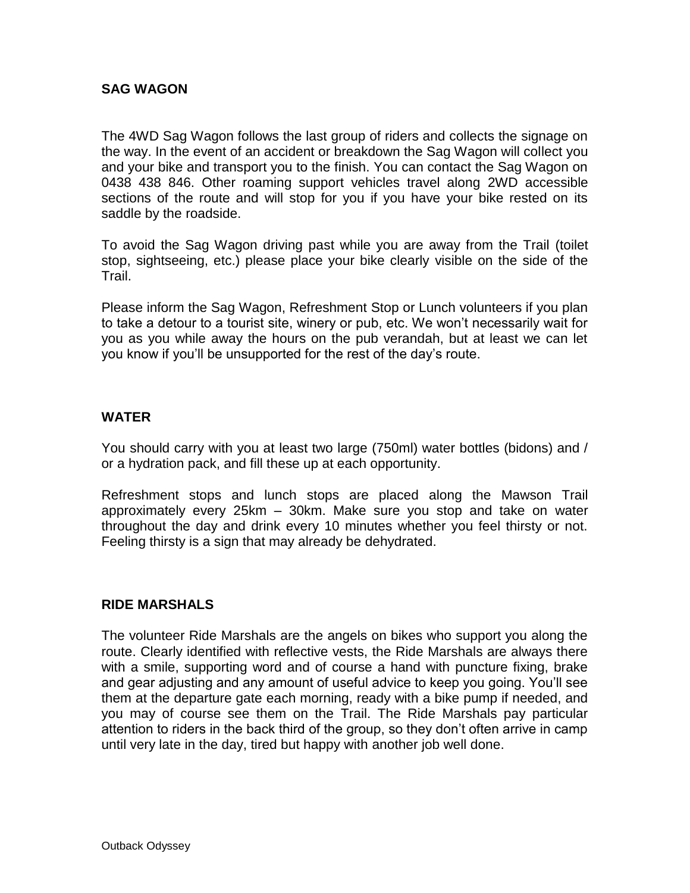### **SAG WAGON**

The 4WD Sag Wagon follows the last group of riders and collects the signage on the way. In the event of an accident or breakdown the Sag Wagon will collect you and your bike and transport you to the finish. You can contact the Sag Wagon on 0438 438 846. Other roaming support vehicles travel along 2WD accessible sections of the route and will stop for you if you have your bike rested on its saddle by the roadside.

To avoid the Sag Wagon driving past while you are away from the Trail (toilet stop, sightseeing, etc.) please place your bike clearly visible on the side of the Trail.

Please inform the Sag Wagon, Refreshment Stop or Lunch volunteers if you plan to take a detour to a tourist site, winery or pub, etc. We won't necessarily wait for you as you while away the hours on the pub verandah, but at least we can let you know if you'll be unsupported for the rest of the day's route.

#### **WATER**

You should carry with you at least two large (750ml) water bottles (bidons) and / or a hydration pack, and fill these up at each opportunity.

Refreshment stops and lunch stops are placed along the Mawson Trail approximately every 25km – 30km. Make sure you stop and take on water throughout the day and drink every 10 minutes whether you feel thirsty or not. Feeling thirsty is a sign that may already be dehydrated.

#### **RIDE MARSHALS**

The volunteer Ride Marshals are the angels on bikes who support you along the route. Clearly identified with reflective vests, the Ride Marshals are always there with a smile, supporting word and of course a hand with puncture fixing, brake and gear adjusting and any amount of useful advice to keep you going. You'll see them at the departure gate each morning, ready with a bike pump if needed, and you may of course see them on the Trail. The Ride Marshals pay particular attention to riders in the back third of the group, so they don't often arrive in camp until very late in the day, tired but happy with another job well done.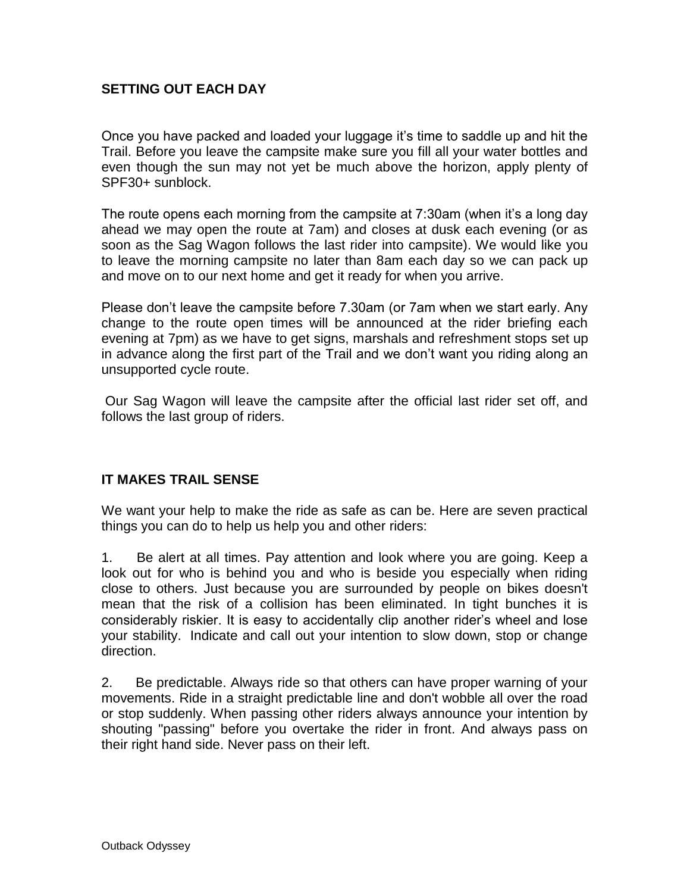## **SETTING OUT EACH DAY**

Once you have packed and loaded your luggage it's time to saddle up and hit the Trail. Before you leave the campsite make sure you fill all your water bottles and even though the sun may not yet be much above the horizon, apply plenty of SPF30+ sunblock.

The route opens each morning from the campsite at 7:30am (when it's a long day ahead we may open the route at 7am) and closes at dusk each evening (or as soon as the Sag Wagon follows the last rider into campsite). We would like you to leave the morning campsite no later than 8am each day so we can pack up and move on to our next home and get it ready for when you arrive.

Please don't leave the campsite before 7.30am (or 7am when we start early. Any change to the route open times will be announced at the rider briefing each evening at 7pm) as we have to get signs, marshals and refreshment stops set up in advance along the first part of the Trail and we don't want you riding along an unsupported cycle route.

Our Sag Wagon will leave the campsite after the official last rider set off, and follows the last group of riders.

## **IT MAKES TRAIL SENSE**

We want your help to make the ride as safe as can be. Here are seven practical things you can do to help us help you and other riders:

1. Be alert at all times. Pay attention and look where you are going. Keep a look out for who is behind you and who is beside you especially when riding close to others. Just because you are surrounded by people on bikes doesn't mean that the risk of a collision has been eliminated. In tight bunches it is considerably riskier. It is easy to accidentally clip another rider's wheel and lose your stability. Indicate and call out your intention to slow down, stop or change direction.

2. Be predictable. Always ride so that others can have proper warning of your movements. Ride in a straight predictable line and don't wobble all over the road or stop suddenly. When passing other riders always announce your intention by shouting "passing" before you overtake the rider in front. And always pass on their right hand side. Never pass on their left.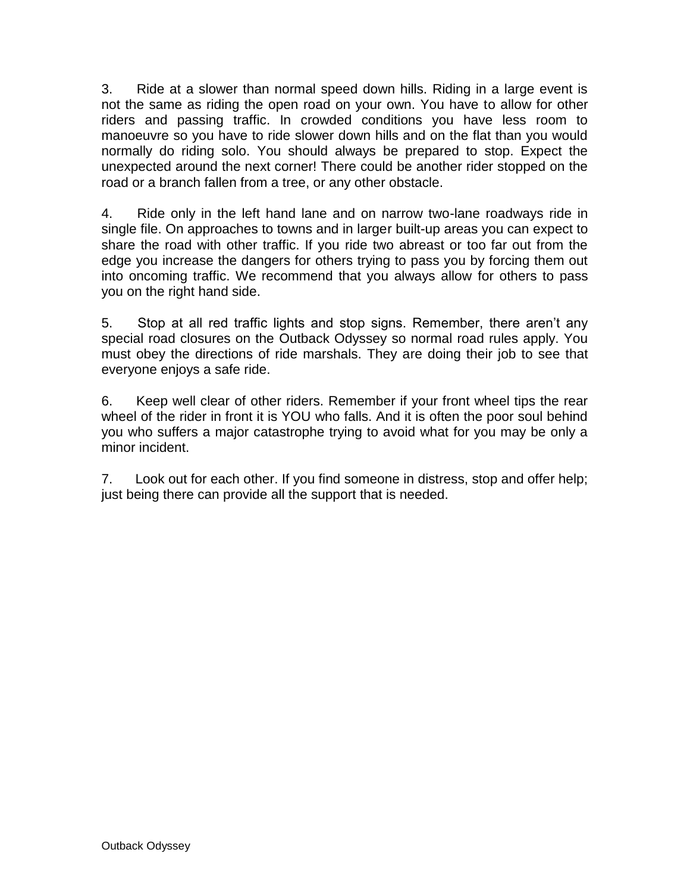3. Ride at a slower than normal speed down hills. Riding in a large event is not the same as riding the open road on your own. You have to allow for other riders and passing traffic. In crowded conditions you have less room to manoeuvre so you have to ride slower down hills and on the flat than you would normally do riding solo. You should always be prepared to stop. Expect the unexpected around the next corner! There could be another rider stopped on the road or a branch fallen from a tree, or any other obstacle.

4. Ride only in the left hand lane and on narrow two-lane roadways ride in single file. On approaches to towns and in larger built-up areas you can expect to share the road with other traffic. If you ride two abreast or too far out from the edge you increase the dangers for others trying to pass you by forcing them out into oncoming traffic. We recommend that you always allow for others to pass you on the right hand side.

5. Stop at all red traffic lights and stop signs. Remember, there aren't any special road closures on the Outback Odyssey so normal road rules apply. You must obey the directions of ride marshals. They are doing their job to see that everyone enjoys a safe ride.

6. Keep well clear of other riders. Remember if your front wheel tips the rear wheel of the rider in front it is YOU who falls. And it is often the poor soul behind you who suffers a major catastrophe trying to avoid what for you may be only a minor incident.

7. Look out for each other. If you find someone in distress, stop and offer help; just being there can provide all the support that is needed.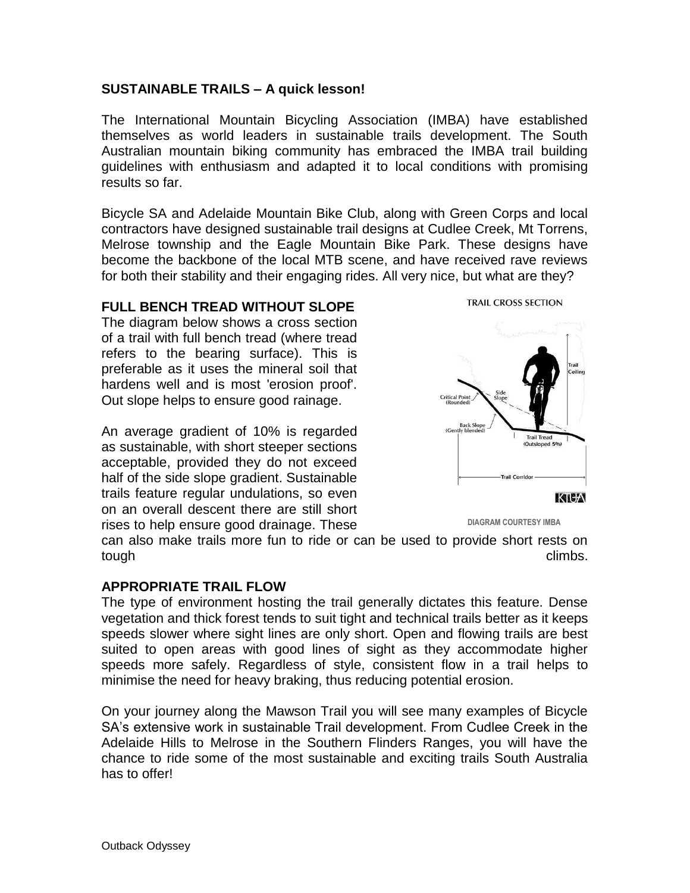#### **SUSTAINABLE TRAILS – A quick lesson!**

The International Mountain Bicycling Association (IMBA) have established themselves as world leaders in sustainable trails development. The South Australian mountain biking community has embraced the IMBA trail building guidelines with enthusiasm and adapted it to local conditions with promising results so far.

Bicycle SA and Adelaide Mountain Bike Club, along with Green Corps and local contractors have designed sustainable trail designs at Cudlee Creek, Mt Torrens, Melrose township and the Eagle Mountain Bike Park. These designs have become the backbone of the local MTB scene, and have received rave reviews for both their stability and their engaging rides. All very nice, but what are they?

#### **FULL BENCH TREAD WITHOUT SLOPE**

The diagram below shows a cross section of a trail with full bench tread (where tread refers to the bearing surface). This is preferable as it uses the mineral soil that hardens well and is most 'erosion proof'. Out slope helps to ensure good rainage.

An average gradient of 10% is regarded as sustainable, with short steeper sections acceptable, provided they do not exceed half of the side slope gradient. Sustainable trails feature regular undulations, so even on an overall descent there are still short rises to help ensure good drainage. These



 **DIAGRAM COURTESY IMBA**

can also make trails more fun to ride or can be used to provide short rests on tough climbs.

#### **APPROPRIATE TRAIL FLOW**

The type of environment hosting the trail generally dictates this feature. Dense vegetation and thick forest tends to suit tight and technical trails better as it keeps speeds slower where sight lines are only short. Open and flowing trails are best suited to open areas with good lines of sight as they accommodate higher speeds more safely. Regardless of style, consistent flow in a trail helps to minimise the need for heavy braking, thus reducing potential erosion.

On your journey along the Mawson Trail you will see many examples of Bicycle SA's extensive work in sustainable Trail development. From Cudlee Creek in the Adelaide Hills to Melrose in the Southern Flinders Ranges, you will have the chance to ride some of the most sustainable and exciting trails South Australia has to offer!